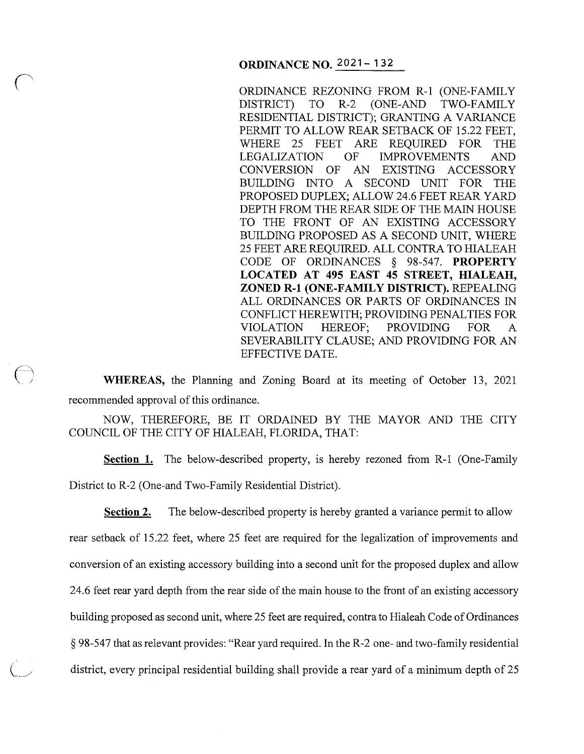ORDINANCE REZONING FROM R-1 (ONE-FAMILY DISTRICT) TO R-2 (ONE-AND TWO-FAMILY RESIDENTIAL DISTRICT); GRANTING A VARIANCE PERMIT TO ALLOW REAR SETBACK OF 15.22 FEET, WHERE 25 FEET ARE REQUIRED FOR THE LEGALIZATION OF IMPROVEMENTS AND<br>CONVERSION OF AN EXISTING ACCESSORY AN EXISTING ACCESSORY BUILDING INTO A SECOND UNIT FOR THE PROPOSED DUPLEX; ALLOW 24.6 FEET REAR YARD DEPTH FROM THE REAR SIDE OF THE MAIN HOUSE TO THE FRONT OF AN EXISTING ACCESSORY BUILDING PROPOSED AS A SECOND UNIT, WHERE 25 FEET ARE REQUIRED. ALL CONTRA TO HIALEAH CODE OF ORDINANCES § 98-547. **PROPERTY LOCATED AT 495 EAST 45 STREET, HIALEAH, ZONED R-1 (ONE-FAMILY DISTRICT).** REPEALING ALL ORDINANCES OR PARTS OF ORDINANCES IN CONFLICT HEREWITH; PROVIDING PENAL TIES FOR VIOLATION HEREOF; PROVIDING FOR A SEVERABILITY CLAUSE; AND PROVIDING FOR AN EFFECTIVE DATE.

**WHEREAS,** the Planning and Zoning Board at its meeting of October 13, 2021 recommended approval of this ordinance.

 $\bigodot$ 

NOW, THEREFORE, BE IT ORDAINED BY THE MAYOR AND THE CITY COUNCIL OF THE CITY OF HIALEAH, FLORIDA, THAT:

**Section 1.** The below-described property, is hereby rezoned from R-1 (One-Family District to R-2 (One-and Two-Family Residential District).

**Section 2.** The below-described property is hereby granted a variance permit to allow rear setback of 15 .22 feet, where 25 feet are required for the legalization of improvements and conversion of an existing accessory building into a second unit for the proposed duplex and allow 24.6 feet rear yard depth from the rear side of the main house to the front of an existing accessory building proposed as second unit, where 25 feet are required, contra to Hialeah Code of Ordinances § 98-547 that as relevant provides: "Rear yard required. In the R-2 one- and two-family residential district, every principal residential building shall provide a rear yard of a minimum depth of 25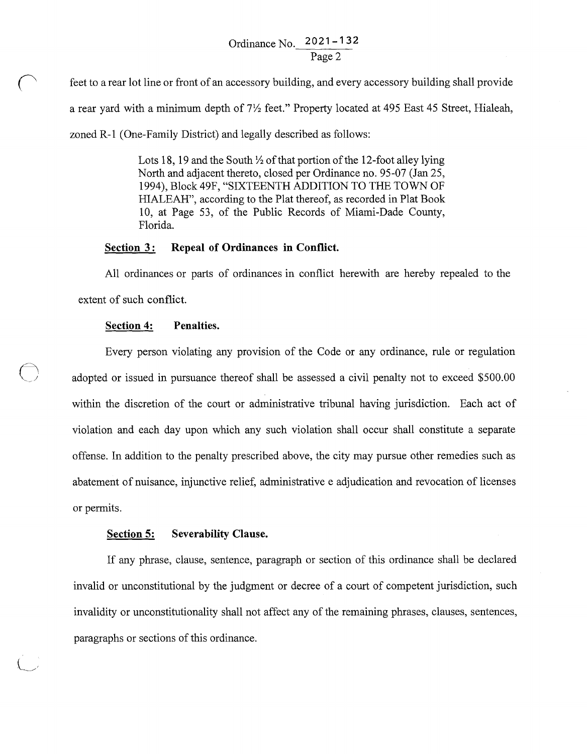# Ordinance No. **2021-132**  Page 2

feet to a rear lot line or front of an accessory building, and every accessory building shall provide a rear yard with a minimum depth of *7Yz* feet." Property located at 495 East 45 Street, Hialeah, zoned R-1 (One-Family District) and legally described as follows:

> Lots 18, 19 and the South  $\frac{1}{2}$  of that portion of the 12-foot alley lying North and adjacent thereto, closed per Ordinance no. 95-07 (Jan 25, 1994), Block49F, "SIXTEENTH ADDITION TO THE TOWN OF HIALEAH", according to the Plat thereof, as recorded in Plat Book 10, at Page 53, of the Public Records of Miami-Dade County, Florida.

## Section 3: Repeal of Ordinances in Conflict.

All ordinances or parts of ordinances in conflict herewith are hereby repealed to the extent of such conflict.

### **Section 4: Penalties.**

Every person violating any provision of the Code or any ordinance, rule or regulation adopted or issued in pursuance thereof shall be assessed a civil penalty not to exceed \$500.00 within the discretion of the court or administrative tribunal having jurisdiction. Each act of violation and each day upon which any such violation shall occur shall constitute a separate offense. In addition to the penalty prescribed above, the city may pursue other remedies such as abatement of nuisance, injunctive relief, administrative e adjudication and revocation of licenses or permits.

#### **Section 5: Severability Clause.**

If any phrase, clause, sentence, paragraph or section of this ordinance shall be declared invalid or unconstitutional by the judgment or decree of a court of competent jurisdiction, such invalidity or unconstitutionality shall not affect any of the remaining phrases, clauses, sentences, paragraphs or sections of this ordinance.